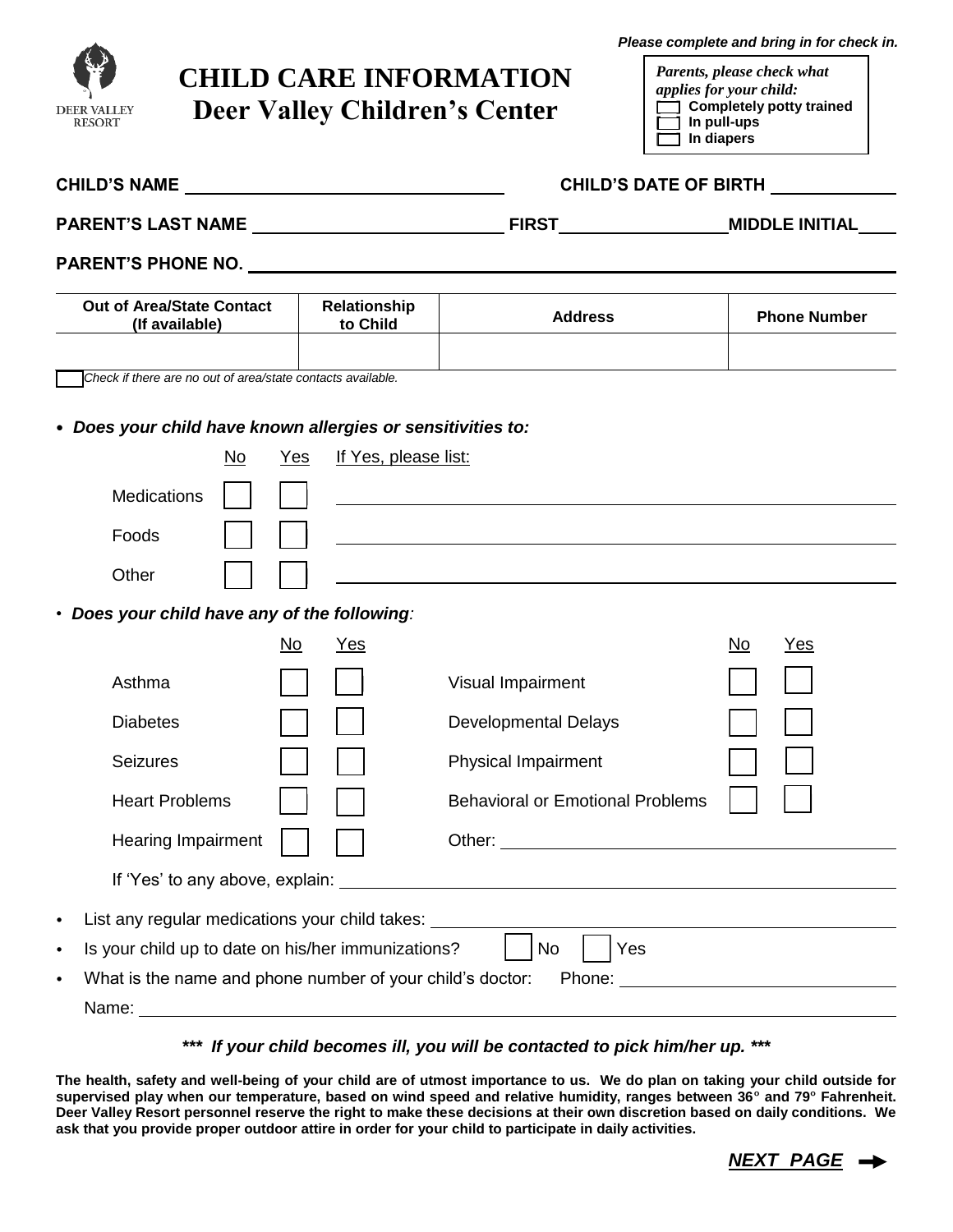

## **CHILD CARE INFORMATION Deer Valley Children's Center**

*Please complete and bring in for check in.*

*Parents, please check what applies for your child:* **[ ] Completely potty trained [ ] In pull-ups [ ] In diapers**

|                                                                        |           |                          | CHILD'S DATE OF BIRTH                                       |                     |
|------------------------------------------------------------------------|-----------|--------------------------|-------------------------------------------------------------|---------------------|
|                                                                        |           |                          |                                                             |                     |
|                                                                        |           |                          |                                                             |                     |
| Out of Area/State Contact<br>(If available)                            |           | Relationship<br>to Child | <b>Address</b>                                              | <b>Phone Number</b> |
| Check if there are no out of area/state contacts available.            |           |                          |                                                             |                     |
| • Does your child have known allergies or sensitivities to:            |           |                          |                                                             |                     |
|                                                                        | No<br>Yes | If Yes, please list:     |                                                             |                     |
| <b>Medications</b>                                                     |           |                          |                                                             |                     |
| Foods                                                                  |           |                          | <u> 1989 - Johann Stoff, amerikansk politiker (d. 1989)</u> |                     |
| Other                                                                  |           |                          |                                                             |                     |
| • Does your child have any of the following:                           |           |                          |                                                             |                     |
|                                                                        | No.       | Yes                      |                                                             | <u>Yes</u><br>No.   |
| Asthma                                                                 |           |                          | Visual Impairment                                           |                     |
| <b>Diabetes</b>                                                        |           |                          | <b>Developmental Delays</b>                                 |                     |
| <b>Seizures</b>                                                        |           |                          | Physical Impairment                                         |                     |
| <b>Heart Problems</b>                                                  |           |                          | <b>Behavioral or Emotional Problems</b>                     |                     |
| <b>Hearing Impairment</b>                                              |           |                          |                                                             |                     |
|                                                                        |           |                          |                                                             |                     |
| List any regular medications your child takes: _____<br>$\bullet$      |           |                          |                                                             |                     |
| Is your child up to date on his/her immunizations?<br>$\bullet$        |           |                          | Yes<br><b>No</b>                                            |                     |
| What is the name and phone number of your child's doctor:<br>$\bullet$ |           |                          |                                                             |                     |
|                                                                        |           |                          |                                                             |                     |

## *\*\*\* If your child becomes ill, you will be contacted to pick him/her up. \*\*\**

**The health, safety and well-being of your child are of utmost importance to us. We do plan on taking your child outside for supervised play when our temperature, based on wind speed and relative humidity, ranges between 36° and 79° Fahrenheit. Deer Valley Resort personnel reserve the right to make these decisions at their own discretion based on daily conditions. We ask that you provide proper outdoor attire in order for your child to participate in daily activities.**